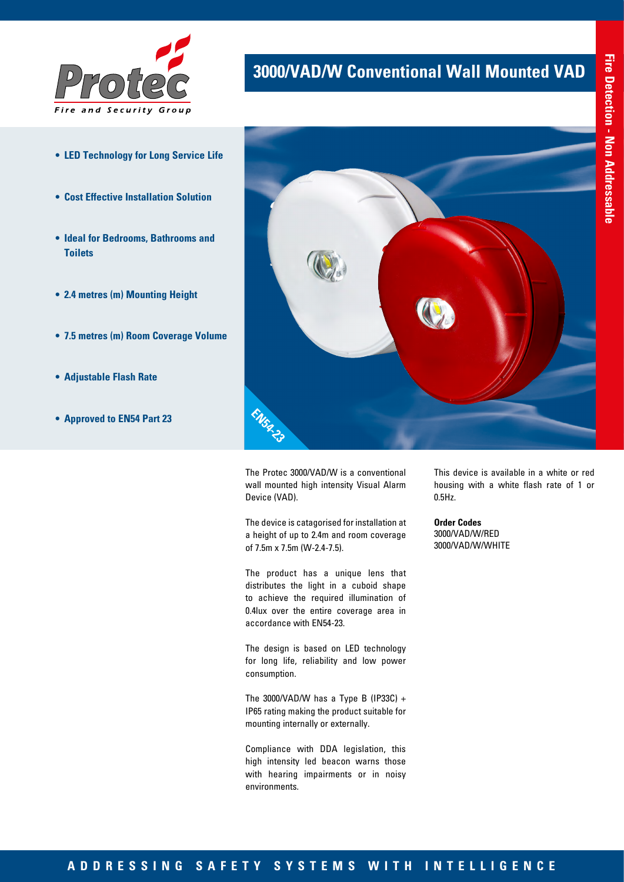

- **• LED Technology for Long Service Life**
- **• Cost Effective Installation Solution**
- **• Ideal for Bedrooms, Bathrooms and Toilets**
- **• 2.4 metres (m) Mounting Height**
- **• 7.5 metres (m) Room Coverage Volume**
- **• Adjustable Flash Rate**
- **• Approved to EN54 Part 23**



**3000/VAD/W Conventional Wall Mounted VAD**

The Protec 3000/VAD/W is a conventional wall mounted high intensity Visual Alarm Device (VAD).

The device is catagorised for installation at a height of up to 2.4m and room coverage of 7.5m x 7.5m (W-2.4-7.5).

The product has a unique lens that distributes the light in a cuboid shape to achieve the required illumination of 0.4lux over the entire coverage area in accordance with EN54-23.

The design is based on LED technology for long life, reliability and low power consumption.

The 3000/VAD/W has a Type B (IP33C) + IP65 rating making the product suitable for mounting internally or externally.

Compliance with DDA legislation, this high intensity led beacon warns those with hearing impairments or in noisy environments.

This device is available in a white or red housing with a white flash rate of 1 or 0.5Hz.

**Order Codes** 3000/VAD/W/RED 3000/VAD/W/WHITE